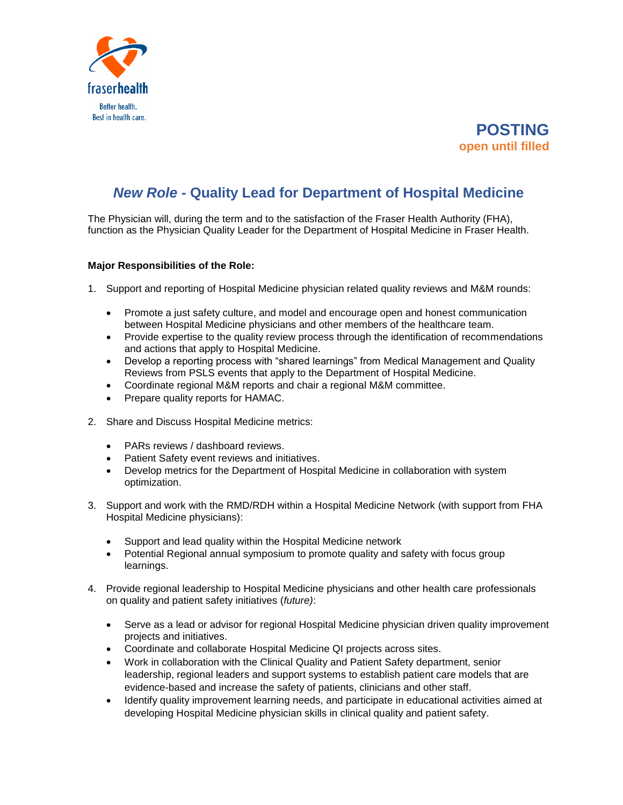



## *New Role* **- Quality Lead for Department of Hospital Medicine**

The Physician will, during the term and to the satisfaction of the Fraser Health Authority (FHA), function as the Physician Quality Leader for the Department of Hospital Medicine in Fraser Health.

## **Major Responsibilities of the Role:**

- 1. Support and reporting of Hospital Medicine physician related quality reviews and M&M rounds:
	- Promote a just safety culture, and model and encourage open and honest communication between Hospital Medicine physicians and other members of the healthcare team.
	- Provide expertise to the quality review process through the identification of recommendations and actions that apply to Hospital Medicine.
	- Develop a reporting process with "shared learnings" from Medical Management and Quality Reviews from PSLS events that apply to the Department of Hospital Medicine.
	- Coordinate regional M&M reports and chair a regional M&M committee.
	- Prepare quality reports for HAMAC.
- 2. Share and Discuss Hospital Medicine metrics:
	- PARs reviews / dashboard reviews.
	- Patient Safety event reviews and initiatives.
	- Develop metrics for the Department of Hospital Medicine in collaboration with system optimization.
- 3. Support and work with the RMD/RDH within a Hospital Medicine Network (with support from FHA Hospital Medicine physicians):
	- Support and lead quality within the Hospital Medicine network
	- Potential Regional annual symposium to promote quality and safety with focus group learnings.
- 4. Provide regional leadership to Hospital Medicine physicians and other health care professionals on quality and patient safety initiatives (*future)*:
	- Serve as a lead or advisor for regional Hospital Medicine physician driven quality improvement projects and initiatives.
	- Coordinate and collaborate Hospital Medicine QI projects across sites.
	- Work in collaboration with the Clinical Quality and Patient Safety department, senior leadership, regional leaders and support systems to establish patient care models that are evidence-based and increase the safety of patients, clinicians and other staff.
	- Identify quality improvement learning needs, and participate in educational activities aimed at developing Hospital Medicine physician skills in clinical quality and patient safety.